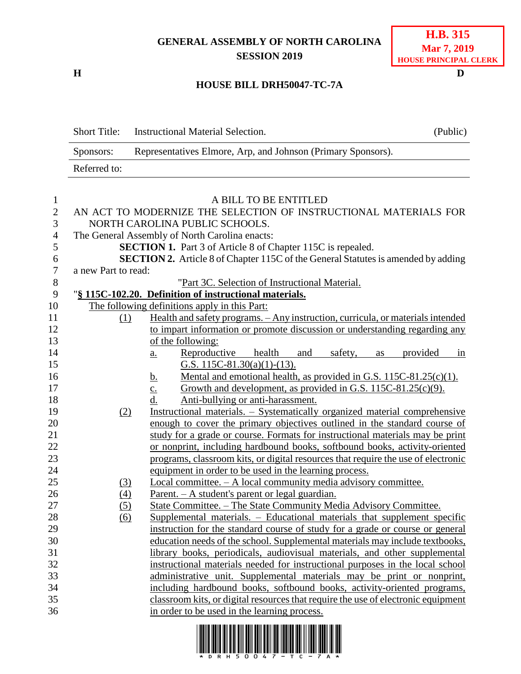## **GENERAL ASSEMBLY OF NORTH CAROLINA SESSION 2019**

**H D**

## **HOUSE BILL DRH50047-TC-7A**

| Short Title: | Instructional Material Selection.                            | (Public) |
|--------------|--------------------------------------------------------------|----------|
| Sponsors:    | Representatives Elmore, Arp, and Johnson (Primary Sponsors). |          |
| Referred to: |                                                              |          |

| $\mathbf{1}$   |                     | A BILL TO BE ENTITLED                                                                                                                                       |
|----------------|---------------------|-------------------------------------------------------------------------------------------------------------------------------------------------------------|
| $\sqrt{2}$     |                     | AN ACT TO MODERNIZE THE SELECTION OF INSTRUCTIONAL MATERIALS FOR                                                                                            |
| 3              |                     | NORTH CAROLINA PUBLIC SCHOOLS.                                                                                                                              |
| $\overline{4}$ |                     | The General Assembly of North Carolina enacts:                                                                                                              |
| 5              |                     | <b>SECTION 1.</b> Part 3 of Article 8 of Chapter 115C is repealed.                                                                                          |
| 6              |                     | <b>SECTION 2.</b> Article 8 of Chapter 115C of the General Statutes is amended by adding                                                                    |
| $\tau$         | a new Part to read: |                                                                                                                                                             |
| 8              |                     | "Part 3C. Selection of Instructional Material.                                                                                                              |
| 9              |                     | "§ 115C-102.20. Definition of instructional materials.                                                                                                      |
| 10             |                     | The following definitions apply in this Part:                                                                                                               |
| 11             | (1)                 | Health and safety programs. - Any instruction, curricula, or materials intended                                                                             |
| 12             |                     | to impart information or promote discussion or understanding regarding any                                                                                  |
| 13             |                     | of the following:                                                                                                                                           |
| 14             |                     | Reproductive<br>health<br>and<br>safety,<br>provided<br>as<br>in<br>$\underline{a}$ .                                                                       |
| 15             |                     | G.S. 115C-81.30(a)(1)-(13).                                                                                                                                 |
| 16             |                     | Mental and emotional health, as provided in G.S. 115C-81.25(c)(1).<br><u>b.</u>                                                                             |
| 17             |                     | Growth and development, as provided in G.S. 115C-81.25(c)(9).<br>$\underline{c}$ .                                                                          |
| 18             |                     | Anti-bullying or anti-harassment.<br>d.                                                                                                                     |
| 19             | (2)                 | Instructional materials. – Systematically organized material comprehensive                                                                                  |
| 20<br>21       |                     | enough to cover the primary objectives outlined in the standard course of                                                                                   |
| 22             |                     | study for a grade or course. Formats for instructional materials may be print<br>or nonprint, including hardbound books, softbound books, activity-oriented |
| 23             |                     | programs, classroom kits, or digital resources that require the use of electronic                                                                           |
| 24             |                     | equipment in order to be used in the learning process.                                                                                                      |
| 25             | (3)                 | Local committee. - A local community media advisory committee.                                                                                              |
| 26             | (4)                 | <u>Parent. – A student's parent or legal guardian.</u>                                                                                                      |
| 27             | (5)                 | State Committee. - The State Community Media Advisory Committee.                                                                                            |
| 28             | $\overline{(6)}$    | Supplemental materials. - Educational materials that supplement specific                                                                                    |
| 29             |                     | instruction for the standard course of study for a grade or course or general                                                                               |
| 30             |                     | education needs of the school. Supplemental materials may include textbooks,                                                                                |
| 31             |                     | library books, periodicals, audiovisual materials, and other supplemental                                                                                   |
| 32             |                     | instructional materials needed for instructional purposes in the local school                                                                               |
| 33             |                     | administrative unit. Supplemental materials may be print or nonprint,                                                                                       |
| 34             |                     | including hardbound books, softbound books, activity-oriented programs,                                                                                     |
| 35             |                     | classroom kits, or digital resources that require the use of electronic equipment                                                                           |
| 36             |                     | in order to be used in the learning process.                                                                                                                |
|                |                     |                                                                                                                                                             |

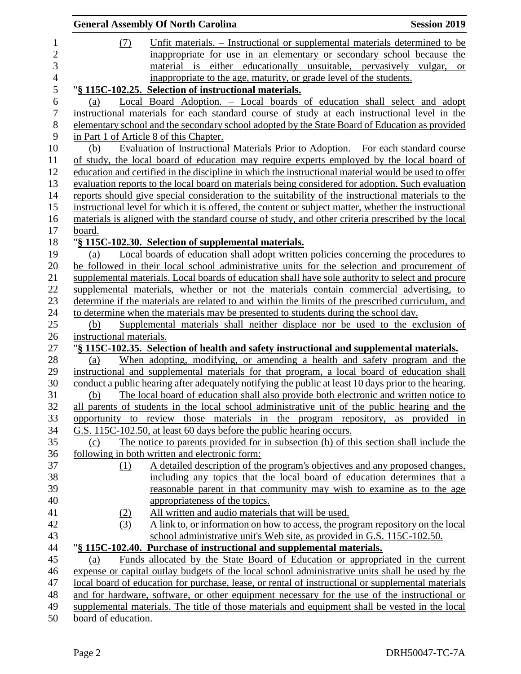|                          | <b>General Assembly Of North Carolina</b>                                                                                                                                                        | <b>Session 2019</b> |
|--------------------------|--------------------------------------------------------------------------------------------------------------------------------------------------------------------------------------------------|---------------------|
| (7)                      | Unfit materials. – Instructional or supplemental materials determined to be                                                                                                                      |                     |
|                          | inappropriate for use in an elementary or secondary school because the                                                                                                                           |                     |
|                          | material is either educationally unsuitable, pervasively vulgar,                                                                                                                                 | <sub>or</sub>       |
|                          | inappropriate to the age, maturity, or grade level of the students.                                                                                                                              |                     |
|                          | "§ 115C-102.25. Selection of instructional materials.                                                                                                                                            |                     |
| (a)                      | Local Board Adoption. – Local boards of education shall select and adopt                                                                                                                         |                     |
|                          | instructional materials for each standard course of study at each instructional level in the                                                                                                     |                     |
|                          | elementary school and the secondary school adopted by the State Board of Education as provided                                                                                                   |                     |
|                          | in Part 1 of Article 8 of this Chapter.                                                                                                                                                          |                     |
| (b)                      | Evaluation of Instructional Materials Prior to Adoption. – For each standard course                                                                                                              |                     |
|                          | of study, the local board of education may require experts employed by the local board of                                                                                                        |                     |
|                          | education and certified in the discipline in which the instructional material would be used to offer                                                                                             |                     |
|                          | evaluation reports to the local board on materials being considered for adoption. Such evaluation                                                                                                |                     |
|                          | reports should give special consideration to the suitability of the instructional materials to the                                                                                               |                     |
|                          | instructional level for which it is offered, the content or subject matter, whether the instructional                                                                                            |                     |
|                          | materials is aligned with the standard course of study, and other criteria prescribed by the local                                                                                               |                     |
| board.                   |                                                                                                                                                                                                  |                     |
|                          | "§ 115C-102.30. Selection of supplemental materials.                                                                                                                                             |                     |
| (a)                      | Local boards of education shall adopt written policies concerning the procedures to                                                                                                              |                     |
|                          | be followed in their local school administrative units for the selection and procurement of<br>supplemental materials. Local boards of education shall have sole authority to select and procure |                     |
|                          | supplemental materials, whether or not the materials contain commercial advertising, to                                                                                                          |                     |
|                          | determine if the materials are related to and within the limits of the prescribed curriculum, and                                                                                                |                     |
|                          | to determine when the materials may be presented to students during the school day.                                                                                                              |                     |
| (b)                      | Supplemental materials shall neither displace nor be used to the exclusion of                                                                                                                    |                     |
| instructional materials. |                                                                                                                                                                                                  |                     |
|                          | "§ 115C-102.35. Selection of health and safety instructional and supplemental materials.                                                                                                         |                     |
| (a)                      | When adopting, modifying, or amending a health and safety program and the                                                                                                                        |                     |
|                          | instructional and supplemental materials for that program, a local board of education shall                                                                                                      |                     |
|                          | conduct a public hearing after adequately notifying the public at least 10 days prior to the hearing.                                                                                            |                     |
| (b)                      | The local board of education shall also provide both electronic and written notice to                                                                                                            |                     |
|                          | all parents of students in the local school administrative unit of the public hearing and the                                                                                                    |                     |
|                          | opportunity to review those materials in the program repository, as provided in                                                                                                                  |                     |
|                          | G.S. 115C-102.50, at least 60 days before the public hearing occurs.                                                                                                                             |                     |
| (c)                      | The notice to parents provided for in subsection (b) of this section shall include the                                                                                                           |                     |
|                          | following in both written and electronic form:                                                                                                                                                   |                     |
| (1)                      | A detailed description of the program's objectives and any proposed changes,                                                                                                                     |                     |
|                          | including any topics that the local board of education determines that a                                                                                                                         |                     |
|                          | reasonable parent in that community may wish to examine as to the age                                                                                                                            |                     |
|                          | appropriateness of the topics.<br>All written and audio materials that will be used.                                                                                                             |                     |
| (2)<br>(3)               | A link to, or information on how to access, the program repository on the local                                                                                                                  |                     |
|                          | school administrative unit's Web site, as provided in G.S. 115C-102.50.                                                                                                                          |                     |
|                          | "§ 115C-102.40. Purchase of instructional and supplemental materials.                                                                                                                            |                     |
| (a)                      | Funds allocated by the State Board of Education or appropriated in the current                                                                                                                   |                     |
|                          | expense or capital outlay budgets of the local school administrative units shall be used by the                                                                                                  |                     |
|                          | local board of education for purchase, lease, or rental of instructional or supplemental materials                                                                                               |                     |
|                          | and for hardware, software, or other equipment necessary for the use of the instructional or                                                                                                     |                     |
|                          | supplemental materials. The title of those materials and equipment shall be vested in the local                                                                                                  |                     |
| board of education.      |                                                                                                                                                                                                  |                     |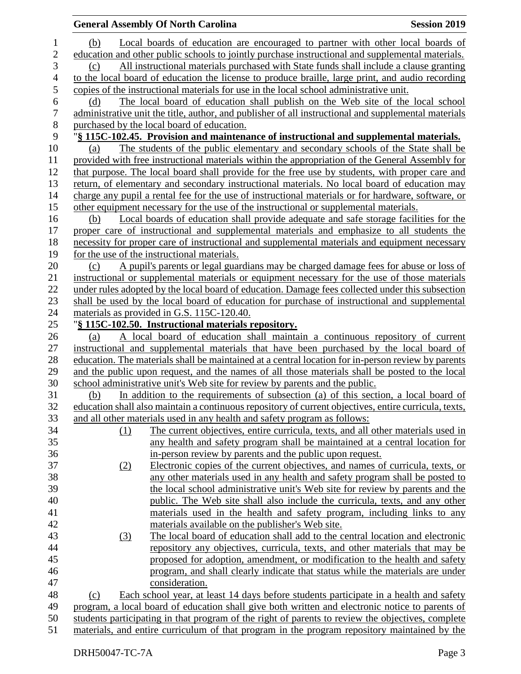|                  |     | <b>General Assembly Of North Carolina</b>                                                                                                                                                     | <b>Session 2019</b> |
|------------------|-----|-----------------------------------------------------------------------------------------------------------------------------------------------------------------------------------------------|---------------------|
| 1                | (b) | Local boards of education are encouraged to partner with other local boards of                                                                                                                |                     |
| $\overline{c}$   |     | education and other public schools to jointly purchase instructional and supplemental materials.                                                                                              |                     |
| 3                | (c) | All instructional materials purchased with State funds shall include a clause granting                                                                                                        |                     |
| $\overline{4}$   |     | to the local board of education the license to produce braille, large print, and audio recording                                                                                              |                     |
| $\mathfrak{S}$   |     | copies of the instructional materials for use in the local school administrative unit.                                                                                                        |                     |
| 6                | (d) | The local board of education shall publish on the Web site of the local school                                                                                                                |                     |
| $\boldsymbol{7}$ |     | administrative unit the title, author, and publisher of all instructional and supplemental materials                                                                                          |                     |
| $8\,$            |     | purchased by the local board of education.                                                                                                                                                    |                     |
| 9                |     | "§ 115C-102.45. Provision and maintenance of instructional and supplemental materials.                                                                                                        |                     |
| 10               | (a) | The students of the public elementary and secondary schools of the State shall be                                                                                                             |                     |
| 11               |     | provided with free instructional materials within the appropriation of the General Assembly for                                                                                               |                     |
| 12               |     | that purpose. The local board shall provide for the free use by students, with proper care and                                                                                                |                     |
| 13               |     | return, of elementary and secondary instructional materials. No local board of education may                                                                                                  |                     |
| 14               |     | charge any pupil a rental fee for the use of instructional materials or for hardware, software, or                                                                                            |                     |
| 15               |     | other equipment necessary for the use of the instructional or supplemental materials.                                                                                                         |                     |
| 16               | (b) | Local boards of education shall provide adequate and safe storage facilities for the                                                                                                          |                     |
| 17               |     | proper care of instructional and supplemental materials and emphasize to all students the                                                                                                     |                     |
| 18               |     | necessity for proper care of instructional and supplemental materials and equipment necessary                                                                                                 |                     |
| 19               |     | for the use of the instructional materials.                                                                                                                                                   |                     |
| 20               | (c) | A pupil's parents or legal guardians may be charged damage fees for abuse or loss of                                                                                                          |                     |
| 21               |     | instructional or supplemental materials or equipment necessary for the use of those materials                                                                                                 |                     |
| 22               |     | under rules adopted by the local board of education. Damage fees collected under this subsection                                                                                              |                     |
| 23               |     | shall be used by the local board of education for purchase of instructional and supplemental                                                                                                  |                     |
| 24               |     | materials as provided in G.S. 115C-120.40.                                                                                                                                                    |                     |
| 25               |     | "§ 115C-102.50. Instructional materials repository.                                                                                                                                           |                     |
| 26<br>27         | (a) | A local board of education shall maintain a continuous repository of current                                                                                                                  |                     |
| 28               |     | instructional and supplemental materials that have been purchased by the local board of<br>education. The materials shall be maintained at a central location for in-person review by parents |                     |
| 29               |     | and the public upon request, and the names of all those materials shall be posted to the local                                                                                                |                     |
| 30               |     | school administrative unit's Web site for review by parents and the public.                                                                                                                   |                     |
| 31               | (b) | In addition to the requirements of subsection (a) of this section, a local board of                                                                                                           |                     |
| 32               |     | education shall also maintain a continuous repository of current objectives, entire curricula, texts,                                                                                         |                     |
| 33               |     | and all other materials used in any health and safety program as follows:                                                                                                                     |                     |
| 34               | (1) | The current objectives, entire curricula, texts, and all other materials used in                                                                                                              |                     |
| 35               |     | any health and safety program shall be maintained at a central location for                                                                                                                   |                     |
| 36               |     | in-person review by parents and the public upon request.                                                                                                                                      |                     |
| 37               | (2) | Electronic copies of the current objectives, and names of curricula, texts, or                                                                                                                |                     |
| 38               |     | any other materials used in any health and safety program shall be posted to                                                                                                                  |                     |
| 39               |     | the local school administrative unit's Web site for review by parents and the                                                                                                                 |                     |
| 40               |     | public. The Web site shall also include the curricula, texts, and any other                                                                                                                   |                     |
| 41               |     | materials used in the health and safety program, including links to any                                                                                                                       |                     |
| 42               |     | materials available on the publisher's Web site.                                                                                                                                              |                     |
| 43               | (3) | The local board of education shall add to the central location and electronic                                                                                                                 |                     |
| 44               |     | repository any objectives, curricula, texts, and other materials that may be                                                                                                                  |                     |
| 45               |     | proposed for adoption, amendment, or modification to the health and safety                                                                                                                    |                     |
| 46               |     | program, and shall clearly indicate that status while the materials are under                                                                                                                 |                     |
| 47               |     | consideration.                                                                                                                                                                                |                     |
| 48               | (c) | Each school year, at least 14 days before students participate in a health and safety                                                                                                         |                     |
| 49               |     | program, a local board of education shall give both written and electronic notice to parents of                                                                                               |                     |
| 50               |     | students participating in that program of the right of parents to review the objectives, complete                                                                                             |                     |
| 51               |     | materials, and entire curriculum of that program in the program repository maintained by the                                                                                                  |                     |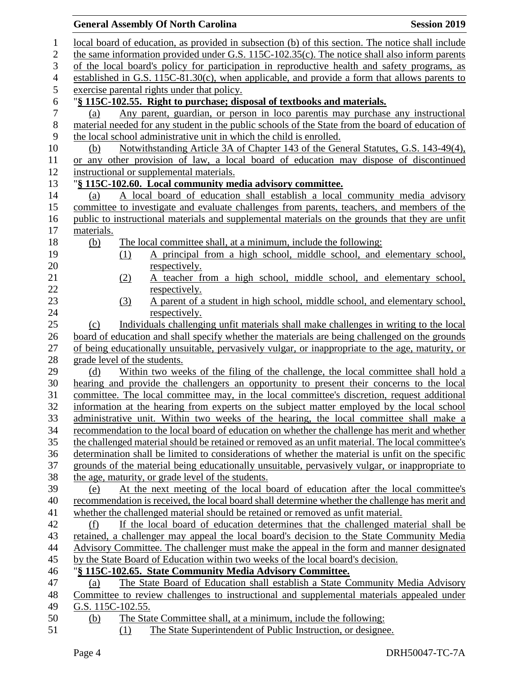|                  | <b>General Assembly Of North Carolina</b>                                                                                                                                                              | <b>Session 2019</b> |
|------------------|--------------------------------------------------------------------------------------------------------------------------------------------------------------------------------------------------------|---------------------|
| $\mathbf{1}$     | local board of education, as provided in subsection (b) of this section. The notice shall include                                                                                                      |                     |
| $\mathbf{2}$     | the same information provided under G.S. 115C-102.35(c). The notice shall also inform parents                                                                                                          |                     |
| 3                | of the local board's policy for participation in reproductive health and safety programs, as                                                                                                           |                     |
| $\overline{4}$   | established in G.S. 115C-81.30(c), when applicable, and provide a form that allows parents to                                                                                                          |                     |
| 5                | exercise parental rights under that policy.                                                                                                                                                            |                     |
| 6                | "§ 115C-102.55. Right to purchase; disposal of textbooks and materials.                                                                                                                                |                     |
| $\boldsymbol{7}$ | Any parent, guardian, or person in loco parentis may purchase any instructional<br>(a)                                                                                                                 |                     |
| $8\,$            | material needed for any student in the public schools of the State from the board of education of                                                                                                      |                     |
| 9                | the local school administrative unit in which the child is enrolled.                                                                                                                                   |                     |
| 10               | Notwithstanding Article 3A of Chapter 143 of the General Statutes, G.S. 143-49(4),<br>(b)                                                                                                              |                     |
| 11               | or any other provision of law, a local board of education may dispose of discontinued                                                                                                                  |                     |
| 12               | instructional or supplemental materials.                                                                                                                                                               |                     |
| 13               | "§ 115C-102.60. Local community media advisory committee.                                                                                                                                              |                     |
| 14               | A local board of education shall establish a local community media advisory<br>(a)                                                                                                                     |                     |
| 15               | committee to investigate and evaluate challenges from parents, teachers, and members of the                                                                                                            |                     |
| 16               | public to instructional materials and supplemental materials on the grounds that they are unfit                                                                                                        |                     |
| 17               | materials.                                                                                                                                                                                             |                     |
| 18               | The local committee shall, at a minimum, include the following:<br>(b)                                                                                                                                 |                     |
| 19               | A principal from a high school, middle school, and elementary school,<br>(1)                                                                                                                           |                     |
| 20               | respectively.                                                                                                                                                                                          |                     |
| 21               | A teacher from a high school, middle school, and elementary school,<br>(2)                                                                                                                             |                     |
| 22               | respectively.                                                                                                                                                                                          |                     |
| 23               | A parent of a student in high school, middle school, and elementary school,<br>(3)                                                                                                                     |                     |
| 24               | respectively.                                                                                                                                                                                          |                     |
| 25               | Individuals challenging unfit materials shall make challenges in writing to the local<br>(c)                                                                                                           |                     |
| 26               | board of education and shall specify whether the materials are being challenged on the grounds                                                                                                         |                     |
| 27               | of being educationally unsuitable, pervasively vulgar, or inappropriate to the age, maturity, or                                                                                                       |                     |
| 28               | grade level of the students.                                                                                                                                                                           |                     |
| 29               | Within two weeks of the filing of the challenge, the local committee shall hold a<br>(d)                                                                                                               |                     |
| 30               | hearing and provide the challengers an opportunity to present their concerns to the local                                                                                                              |                     |
| 31               | committee. The local committee may, in the local committee's discretion, request additional                                                                                                            |                     |
| 32               | information at the hearing from experts on the subject matter employed by the local school                                                                                                             |                     |
| 33               | administrative unit. Within two weeks of the hearing, the local committee shall make a                                                                                                                 |                     |
| 34               | recommendation to the local board of education on whether the challenge has merit and whether                                                                                                          |                     |
| 35<br>36         | the challenged material should be retained or removed as an unfit material. The local committee's<br>determination shall be limited to considerations of whether the material is unfit on the specific |                     |
| 37               | grounds of the material being educationally unsuitable, pervasively vulgar, or inappropriate to                                                                                                        |                     |
| 38               | the age, maturity, or grade level of the students.                                                                                                                                                     |                     |
| 39               | At the next meeting of the local board of education after the local committee's<br>(e)                                                                                                                 |                     |
| 40               | recommendation is received, the local board shall determine whether the challenge has merit and                                                                                                        |                     |
| 41               | whether the challenged material should be retained or removed as unfit material.                                                                                                                       |                     |
| 42               | If the local board of education determines that the challenged material shall be<br>(f)                                                                                                                |                     |
| 43               | retained, a challenger may appeal the local board's decision to the State Community Media                                                                                                              |                     |
| 44               | Advisory Committee. The challenger must make the appeal in the form and manner designated                                                                                                              |                     |
| 45               | by the State Board of Education within two weeks of the local board's decision.                                                                                                                        |                     |
| 46               | "§ 115C-102.65. State Community Media Advisory Committee.                                                                                                                                              |                     |
| 47               | The State Board of Education shall establish a State Community Media Advisory<br>(a)                                                                                                                   |                     |
| 48               | Committee to review challenges to instructional and supplemental materials appealed under                                                                                                              |                     |
| 49               | G.S. 115C-102.55.                                                                                                                                                                                      |                     |
| 50               | The State Committee shall, at a minimum, include the following:<br>(b)                                                                                                                                 |                     |
| 51               | The State Superintendent of Public Instruction, or designee.<br>(1)                                                                                                                                    |                     |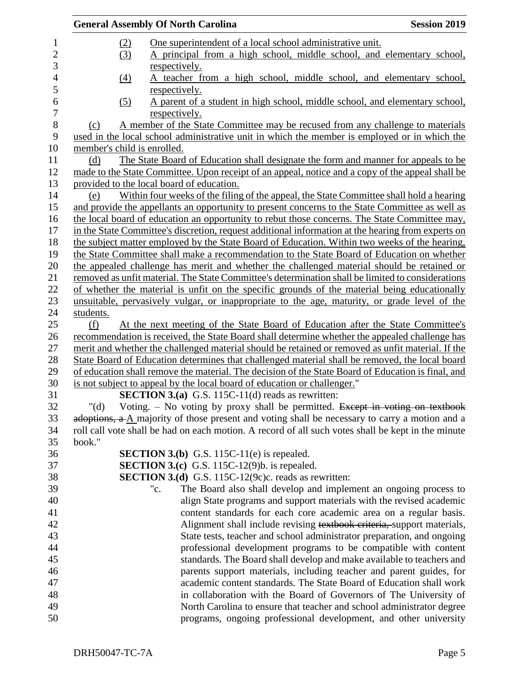|                             | <b>General Assembly Of North Carolina</b>                                                                                                                                      | <b>Session 2019</b> |
|-----------------------------|--------------------------------------------------------------------------------------------------------------------------------------------------------------------------------|---------------------|
| (2)                         | One superintendent of a local school administrative unit.                                                                                                                      |                     |
| (3)                         | A principal from a high school, middle school, and elementary school,                                                                                                          |                     |
|                             | respectively.                                                                                                                                                                  |                     |
| (4)                         | A teacher from a high school, middle school, and elementary school,<br>respectively.                                                                                           |                     |
| (5)                         | A parent of a student in high school, middle school, and elementary school,                                                                                                    |                     |
|                             | respectively.                                                                                                                                                                  |                     |
| (c)                         | A member of the State Committee may be recused from any challenge to materials<br>used in the local school administrative unit in which the member is employed or in which the |                     |
| member's child is enrolled. |                                                                                                                                                                                |                     |
| (d)                         | The State Board of Education shall designate the form and manner for appeals to be                                                                                             |                     |
|                             | made to the State Committee. Upon receipt of an appeal, notice and a copy of the appeal shall be                                                                               |                     |
|                             | provided to the local board of education.                                                                                                                                      |                     |
| (e)                         | Within four weeks of the filing of the appeal, the State Committee shall hold a hearing                                                                                        |                     |
|                             | and provide the appellants an opportunity to present concerns to the State Committee as well as                                                                                |                     |
|                             | the local board of education an opportunity to rebut those concerns. The State Committee may,                                                                                  |                     |
|                             | in the State Committee's discretion, request additional information at the hearing from experts on                                                                             |                     |
|                             | the subject matter employed by the State Board of Education. Within two weeks of the hearing,                                                                                  |                     |
|                             | the State Committee shall make a recommendation to the State Board of Education on whether                                                                                     |                     |
|                             | the appealed challenge has merit and whether the challenged material should be retained or                                                                                     |                     |
|                             | removed as unfit material. The State Committee's determination shall be limited to considerations                                                                              |                     |
|                             | of whether the material is unfit on the specific grounds of the material being educationally                                                                                   |                     |
|                             | unsuitable, pervasively vulgar, or inappropriate to the age, maturity, or grade level of the                                                                                   |                     |
| students.                   |                                                                                                                                                                                |                     |
| (f)                         | At the next meeting of the State Board of Education after the State Committee's                                                                                                |                     |
|                             | recommendation is received, the State Board shall determine whether the appealed challenge has                                                                                 |                     |
|                             | merit and whether the challenged material should be retained or removed as unfit material. If the                                                                              |                     |
|                             | State Board of Education determines that challenged material shall be removed, the local board                                                                                 |                     |
|                             | of education shall remove the material. The decision of the State Board of Education is final, and                                                                             |                     |
|                             | is not subject to appeal by the local board of education or challenger."                                                                                                       |                     |
|                             | <b>SECTION 3.(a)</b> G.S. 115C-11(d) reads as rewritten:                                                                                                                       |                     |
| " $(d)$                     | Voting. $-$ No voting by proxy shall be permitted. Except in voting on textbook                                                                                                |                     |
|                             | adoptions, $a \Delta$ majority of those present and voting shall be necessary to carry a motion and a                                                                          |                     |
|                             | roll call vote shall be had on each motion. A record of all such votes shall be kept in the minute                                                                             |                     |
| book."                      |                                                                                                                                                                                |                     |
|                             | <b>SECTION 3.(b)</b> G.S. 115C-11(e) is repealed.                                                                                                                              |                     |
|                             | <b>SECTION 3.(c)</b> G.S. 115C-12(9)b. is repealed.                                                                                                                            |                     |
|                             | <b>SECTION 3.(d)</b> G.S. 115C-12(9c)c. reads as rewritten:                                                                                                                    |                     |
|                             | The Board also shall develop and implement an ongoing process to<br>"c.                                                                                                        |                     |
|                             | align State programs and support materials with the revised academic                                                                                                           |                     |
|                             | content standards for each core academic area on a regular basis.                                                                                                              |                     |
|                             | Alignment shall include revising textbook criteria, support materials,                                                                                                         |                     |
|                             | State tests, teacher and school administrator preparation, and ongoing                                                                                                         |                     |
|                             | professional development programs to be compatible with content                                                                                                                |                     |
|                             | standards. The Board shall develop and make available to teachers and                                                                                                          |                     |
|                             | parents support materials, including teacher and parent guides, for                                                                                                            |                     |
|                             | academic content standards. The State Board of Education shall work                                                                                                            |                     |
|                             | in collaboration with the Board of Governors of The University of                                                                                                              |                     |
|                             | North Carolina to ensure that teacher and school administrator degree                                                                                                          |                     |
|                             | programs, ongoing professional development, and other university                                                                                                               |                     |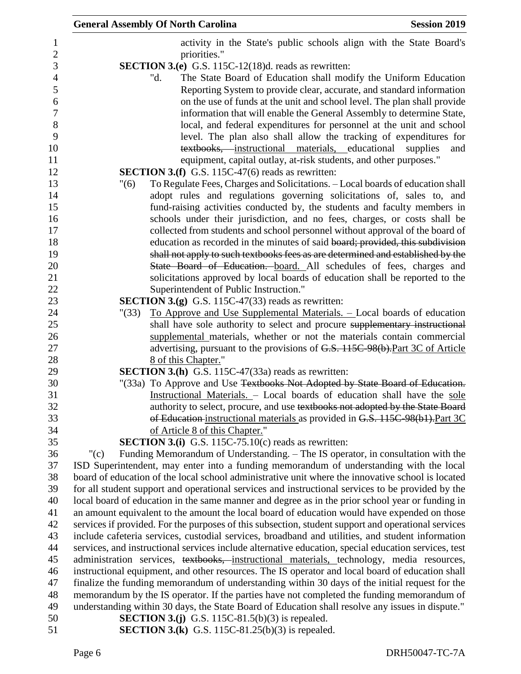|                  | <b>General Assembly Of North Carolina</b><br><b>Session 2019</b>                                                                                                |
|------------------|-----------------------------------------------------------------------------------------------------------------------------------------------------------------|
| 1                | activity in the State's public schools align with the State Board's                                                                                             |
| $\boldsymbol{2}$ | priorities."                                                                                                                                                    |
| $\mathfrak{Z}$   | SECTION 3.(e) G.S. 115C-12(18)d. reads as rewritten:                                                                                                            |
| $\overline{4}$   | The State Board of Education shall modify the Uniform Education<br>"d.                                                                                          |
| 5                | Reporting System to provide clear, accurate, and standard information                                                                                           |
| 6                | on the use of funds at the unit and school level. The plan shall provide                                                                                        |
| $\boldsymbol{7}$ | information that will enable the General Assembly to determine State,                                                                                           |
| 8                | local, and federal expenditures for personnel at the unit and school                                                                                            |
| 9                | level. The plan also shall allow the tracking of expenditures for                                                                                               |
| 10               | textbooks, instructional materials, educational<br>supplies<br>and                                                                                              |
| 11               | equipment, capital outlay, at-risk students, and other purposes."                                                                                               |
| 12               | <b>SECTION 3.(f)</b> G.S. 115C-47(6) reads as rewritten:                                                                                                        |
| 13               | "(6)<br>To Regulate Fees, Charges and Solicitations. - Local boards of education shall                                                                          |
| 14               | adopt rules and regulations governing solicitations of, sales to, and                                                                                           |
| 15               | fund-raising activities conducted by, the students and faculty members in                                                                                       |
| 16               | schools under their jurisdiction, and no fees, charges, or costs shall be                                                                                       |
| 17<br>18         | collected from students and school personnel without approval of the board of<br>education as recorded in the minutes of said board; provided, this subdivision |
| 19               | shall not apply to such textbooks fees as are determined and established by the                                                                                 |
| 20               | State Board of Education. board. All schedules of fees, charges and                                                                                             |
| 21               | solicitations approved by local boards of education shall be reported to the                                                                                    |
| 22               | Superintendent of Public Instruction."                                                                                                                          |
| 23               | <b>SECTION 3.(g)</b> G.S. 115C-47(33) reads as rewritten:                                                                                                       |
| 24               | <u>To Approve and Use Supplemental Materials. – Local boards of education</u><br>" (33)                                                                         |
| 25               | shall have sole authority to select and procure supplementary instructional                                                                                     |
| 26               | supplemental materials, whether or not the materials contain commercial                                                                                         |
| 27               | advertising, pursuant to the provisions of G.S. 115C 98(b). Part 3C of Article                                                                                  |
| 28               | 8 of this Chapter."                                                                                                                                             |
| 29               | SECTION 3.(h) G.S. 115C-47(33a) reads as rewritten:                                                                                                             |
| 30               | "(33a) To Approve and Use Textbooks Not Adopted by State Board of Education.                                                                                    |
| 31               | Instructional Materials. - Local boards of education shall have the sole                                                                                        |
| 32               | authority to select, procure, and use textbooks not adopted by the State Board                                                                                  |
| 33               | of Education-instructional materials as provided in G.S. 115C-98(b1). Part 3C                                                                                   |
| 34<br>35         | of Article 8 of this Chapter."<br><b>SECTION 3.(i)</b> G.S. 115C-75.10(c) reads as rewritten:                                                                   |
| 36               | Funding Memorandum of Understanding. – The IS operator, in consultation with the<br>" $(c)$                                                                     |
| 37               | ISD Superintendent, may enter into a funding memorandum of understanding with the local                                                                         |
| 38               | board of education of the local school administrative unit where the innovative school is located                                                               |
| 39               | for all student support and operational services and instructional services to be provided by the                                                               |
| 40               | local board of education in the same manner and degree as in the prior school year or funding in                                                                |
| 41               | an amount equivalent to the amount the local board of education would have expended on those                                                                    |
| 42               | services if provided. For the purposes of this subsection, student support and operational services                                                             |
| 43               | include cafeteria services, custodial services, broadband and utilities, and student information                                                                |
| 44               | services, and instructional services include alternative education, special education services, test                                                            |
| 45               | administration services, textbooks, instructional materials, technology, media resources,                                                                       |
| 46               | instructional equipment, and other resources. The IS operator and local board of education shall                                                                |
| 47               | finalize the funding memorandum of understanding within 30 days of the initial request for the                                                                  |
| 48               | memorandum by the IS operator. If the parties have not completed the funding memorandum of                                                                      |
| 49               | understanding within 30 days, the State Board of Education shall resolve any issues in dispute."                                                                |
| 50               | <b>SECTION 3.(j)</b> G.S. 115C-81.5(b)(3) is repealed.                                                                                                          |
| 51               | <b>SECTION 3.(k)</b> G.S. 115C-81.25(b)(3) is repealed.                                                                                                         |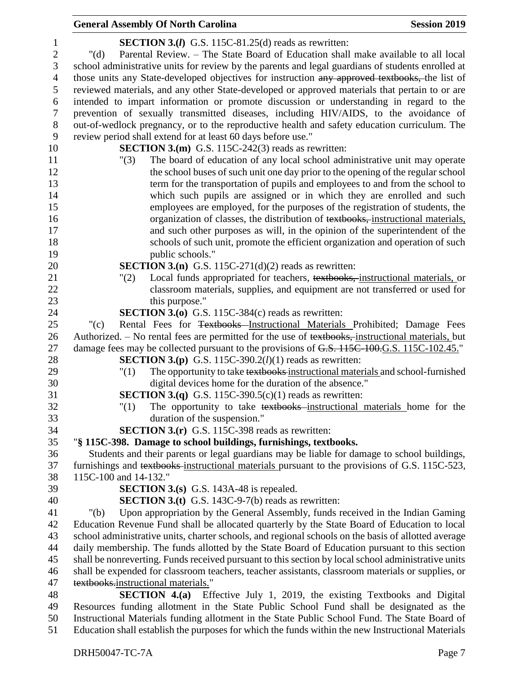## **General Assembly Of North Carolina Session 2019 Session 2019 SECTION 3.(***l***)** G.S. 115C-81.25(d) reads as rewritten: "(d) Parental Review. – The State Board of Education shall make available to all local school administrative units for review by the parents and legal guardians of students enrolled at 4 those units any State-developed objectives for instruction any approved textbooks, the list of reviewed materials, and any other State-developed or approved materials that pertain to or are intended to impart information or promote discussion or understanding in regard to the prevention of sexually transmitted diseases, including HIV/AIDS, to the avoidance of out-of-wedlock pregnancy, or to the reproductive health and safety education curriculum. The review period shall extend for at least 60 days before use." **SECTION 3.(m)** G.S. 115C-242(3) reads as rewritten: "(3) The board of education of any local school administrative unit may operate the school buses of such unit one day prior to the opening of the regular school term for the transportation of pupils and employees to and from the school to which such pupils are assigned or in which they are enrolled and such employees are employed, for the purposes of the registration of students, the 16 organization of classes, the distribution of textbooks, instructional materials, and such other purposes as will, in the opinion of the superintendent of the schools of such unit, promote the efficient organization and operation of such 19 public schools." **SECTION 3.(n)** G.S. 115C-271(d)(2) reads as rewritten: "(2) Local funds appropriated for teachers, textbooks, instructional materials, or classroom materials, supplies, and equipment are not transferred or used for 23 this purpose." **SECTION 3.(o)** G.S. 115C-384(c) reads as rewritten: "(c) Rental Fees for Textbooks Instructional Materials Prohibited; Damage Fees 26 Authorized. – No rental fees are permitted for the use of textbooks, instructional materials, but 27 damage fees may be collected pursuant to the provisions of G.S. 115C-100.G.S. 115C-102.45." **SECTION 3.(p)** G.S. 115C-390.2(*l*)(1) reads as rewritten: "(1) The opportunity to take textbooks instructional materials and school-furnished digital devices home for the duration of the absence." **SECTION 3.(q)** G.S. 115C-390.5(c)(1) reads as rewritten: "(1) The opportunity to take textbooks instructional materials home for the duration of the suspension." **SECTION 3.(r)** G.S. 115C-398 reads as rewritten: "**§ 115C-398. Damage to school buildings, furnishings, textbooks.** Students and their parents or legal guardians may be liable for damage to school buildings, furnishings and textbooks instructional materials pursuant to the provisions of G.S. 115C-523, 115C-100 and 14-132." **SECTION 3.(s)** G.S. 143A-48 is repealed. **SECTION 3.(t)** G.S. 143C-9-7(b) reads as rewritten: "(b) Upon appropriation by the General Assembly, funds received in the Indian Gaming Education Revenue Fund shall be allocated quarterly by the State Board of Education to local school administrative units, charter schools, and regional schools on the basis of allotted average daily membership. The funds allotted by the State Board of Education pursuant to this section shall be nonreverting. Funds received pursuant to this section by local school administrative units shall be expended for classroom teachers, teacher assistants, classroom materials or supplies, or 47 textbooks.instructional materials." **SECTION 4.(a)** Effective July 1, 2019, the existing Textbooks and Digital Resources funding allotment in the State Public School Fund shall be designated as the Instructional Materials funding allotment in the State Public School Fund. The State Board of Education shall establish the purposes for which the funds within the new Instructional Materials